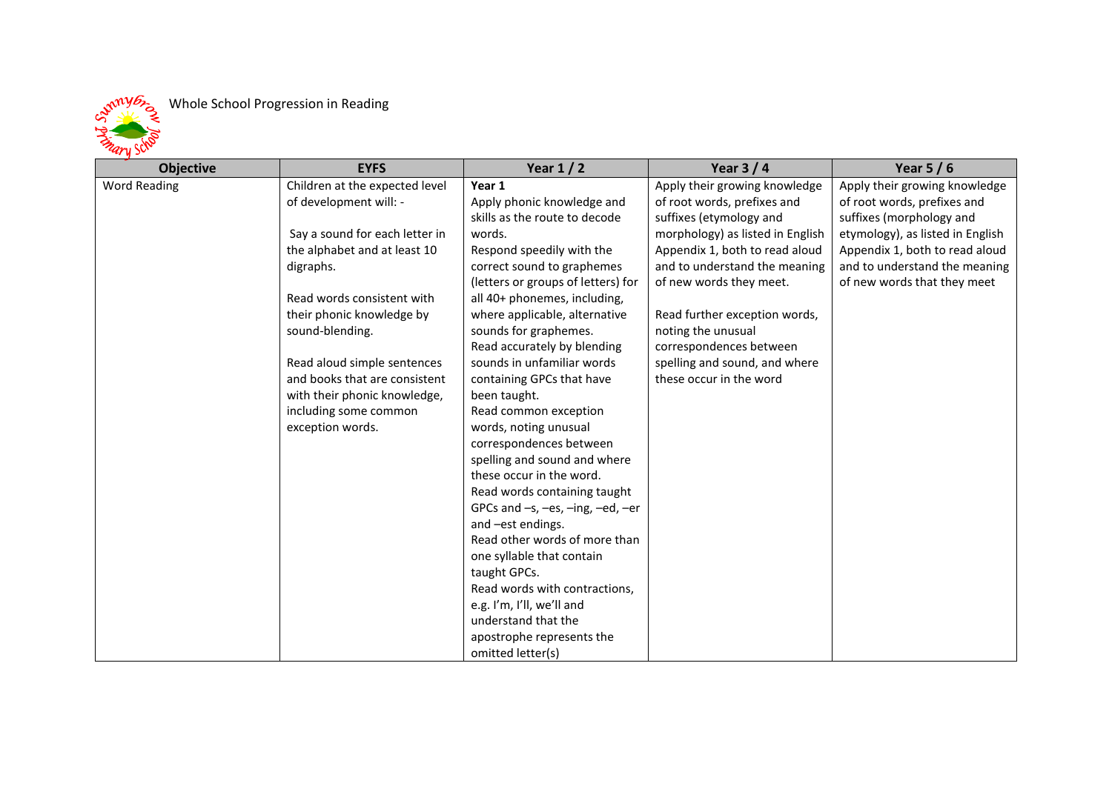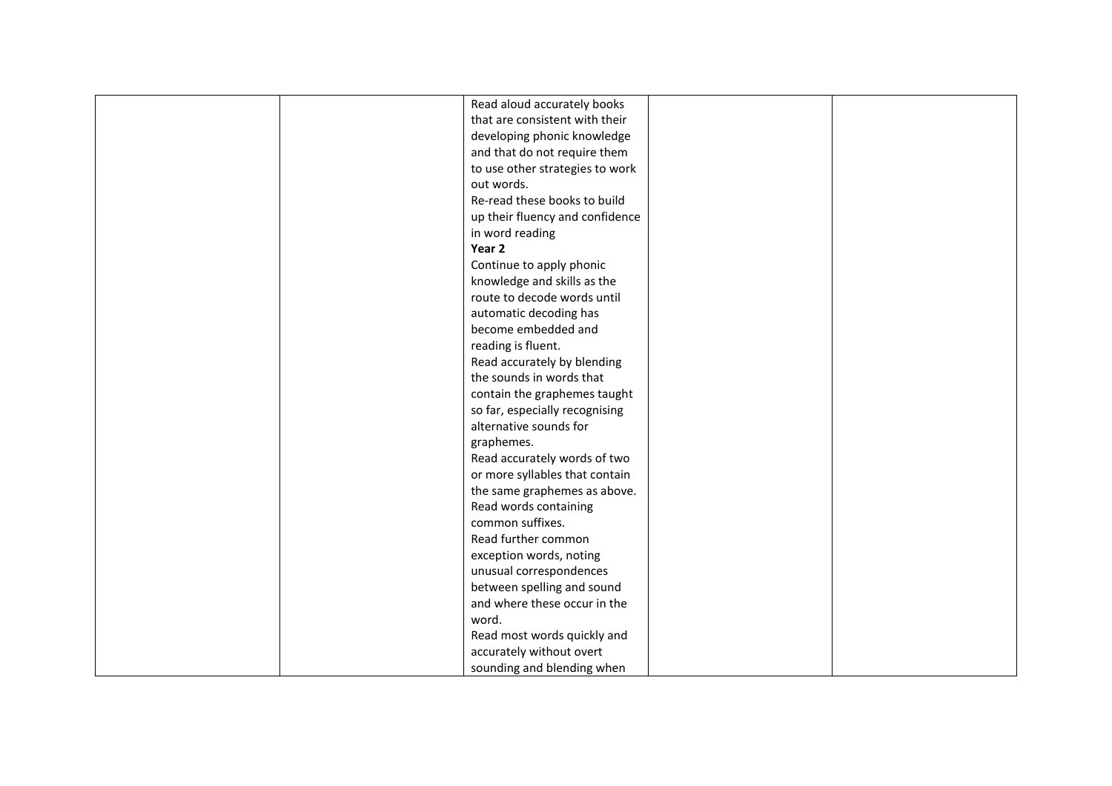| Read aloud accurately books     |  |
|---------------------------------|--|
| that are consistent with their  |  |
| developing phonic knowledge     |  |
| and that do not require them    |  |
| to use other strategies to work |  |
| out words.                      |  |
| Re-read these books to build    |  |
| up their fluency and confidence |  |
| in word reading                 |  |
| Year 2                          |  |
| Continue to apply phonic        |  |
| knowledge and skills as the     |  |
| route to decode words until     |  |
| automatic decoding has          |  |
| become embedded and             |  |
| reading is fluent.              |  |
| Read accurately by blending     |  |
| the sounds in words that        |  |
| contain the graphemes taught    |  |
| so far, especially recognising  |  |
| alternative sounds for          |  |
| graphemes.                      |  |
| Read accurately words of two    |  |
| or more syllables that contain  |  |
| the same graphemes as above.    |  |
| Read words containing           |  |
| common suffixes.                |  |
| Read further common             |  |
| exception words, noting         |  |
| unusual correspondences         |  |
| between spelling and sound      |  |
| and where these occur in the    |  |
| word.                           |  |
| Read most words quickly and     |  |
| accurately without overt        |  |
|                                 |  |
| sounding and blending when      |  |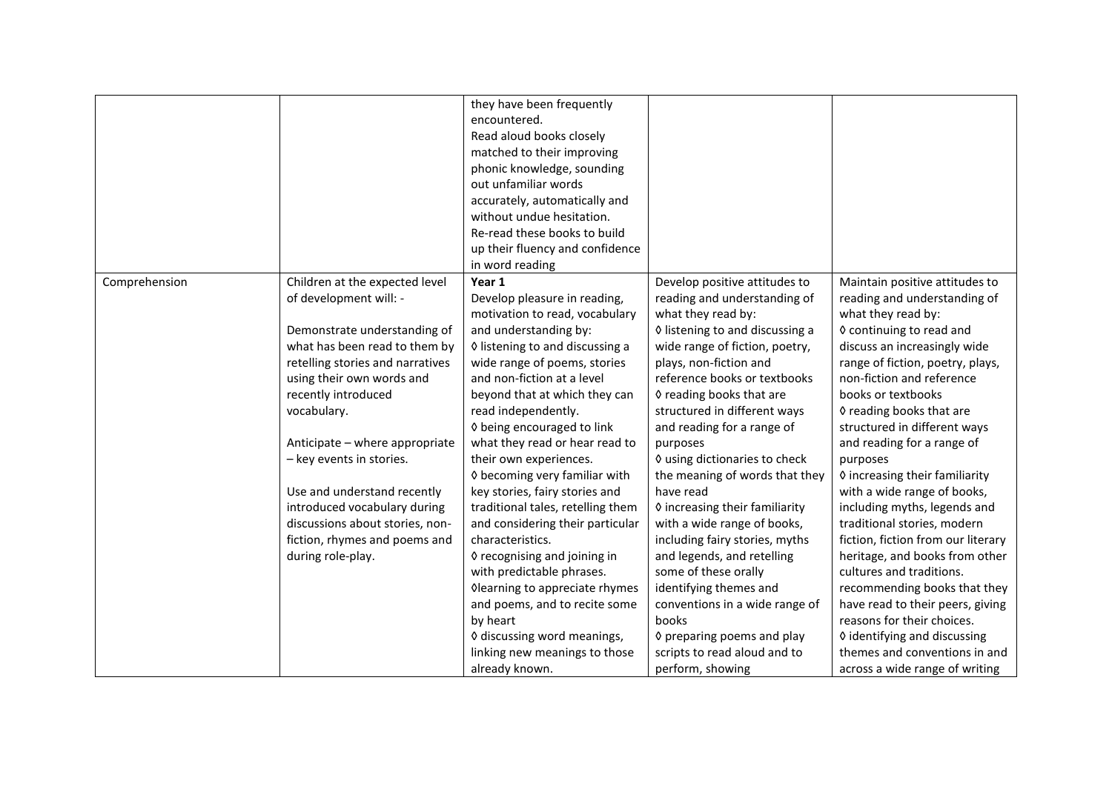|               |                                  | they have been frequently         |                                 |                                    |
|---------------|----------------------------------|-----------------------------------|---------------------------------|------------------------------------|
|               |                                  | encountered.                      |                                 |                                    |
|               |                                  | Read aloud books closely          |                                 |                                    |
|               |                                  | matched to their improving        |                                 |                                    |
|               |                                  | phonic knowledge, sounding        |                                 |                                    |
|               |                                  | out unfamiliar words              |                                 |                                    |
|               |                                  | accurately, automatically and     |                                 |                                    |
|               |                                  | without undue hesitation.         |                                 |                                    |
|               |                                  | Re-read these books to build      |                                 |                                    |
|               |                                  | up their fluency and confidence   |                                 |                                    |
|               |                                  | in word reading                   |                                 |                                    |
| Comprehension | Children at the expected level   | Year 1                            | Develop positive attitudes to   | Maintain positive attitudes to     |
|               | of development will: -           | Develop pleasure in reading,      | reading and understanding of    | reading and understanding of       |
|               |                                  | motivation to read, vocabulary    | what they read by:              | what they read by:                 |
|               | Demonstrate understanding of     | and understanding by:             | ♦ listening to and discussing a | ♦ continuing to read and           |
|               | what has been read to them by    | ♦ listening to and discussing a   | wide range of fiction, poetry,  | discuss an increasingly wide       |
|               | retelling stories and narratives | wide range of poems, stories      | plays, non-fiction and          | range of fiction, poetry, plays,   |
|               | using their own words and        | and non-fiction at a level        | reference books or textbooks    | non-fiction and reference          |
|               | recently introduced              | beyond that at which they can     | ♦ reading books that are        | books or textbooks                 |
|               | vocabulary.                      | read independently.               | structured in different ways    | ♦ reading books that are           |
|               |                                  | ♦ being encouraged to link        | and reading for a range of      | structured in different ways       |
|               | Anticipate - where appropriate   | what they read or hear read to    | purposes                        | and reading for a range of         |
|               | - key events in stories.         | their own experiences.            | ♦ using dictionaries to check   | purposes                           |
|               |                                  | ♦ becoming very familiar with     | the meaning of words that they  | ♦ increasing their familiarity     |
|               | Use and understand recently      | key stories, fairy stories and    | have read                       | with a wide range of books,        |
|               | introduced vocabulary during     | traditional tales, retelling them | ♦ increasing their familiarity  | including myths, legends and       |
|               | discussions about stories, non-  | and considering their particular  | with a wide range of books,     | traditional stories, modern        |
|               | fiction, rhymes and poems and    | characteristics.                  | including fairy stories, myths  | fiction, fiction from our literary |
|               | during role-play.                | ♦ recognising and joining in      | and legends, and retelling      | heritage, and books from other     |
|               |                                  | with predictable phrases.         | some of these orally            | cultures and traditions.           |
|               |                                  | Olearning to appreciate rhymes    | identifying themes and          | recommending books that they       |
|               |                                  | and poems, and to recite some     | conventions in a wide range of  | have read to their peers, giving   |
|               |                                  | by heart                          | books                           | reasons for their choices.         |
|               |                                  | ♦ discussing word meanings,       | ♦ preparing poems and play      | ♦ identifying and discussing       |
|               |                                  | linking new meanings to those     | scripts to read aloud and to    | themes and conventions in and      |
|               |                                  |                                   |                                 |                                    |
|               |                                  | already known.                    | perform, showing                | across a wide range of writing     |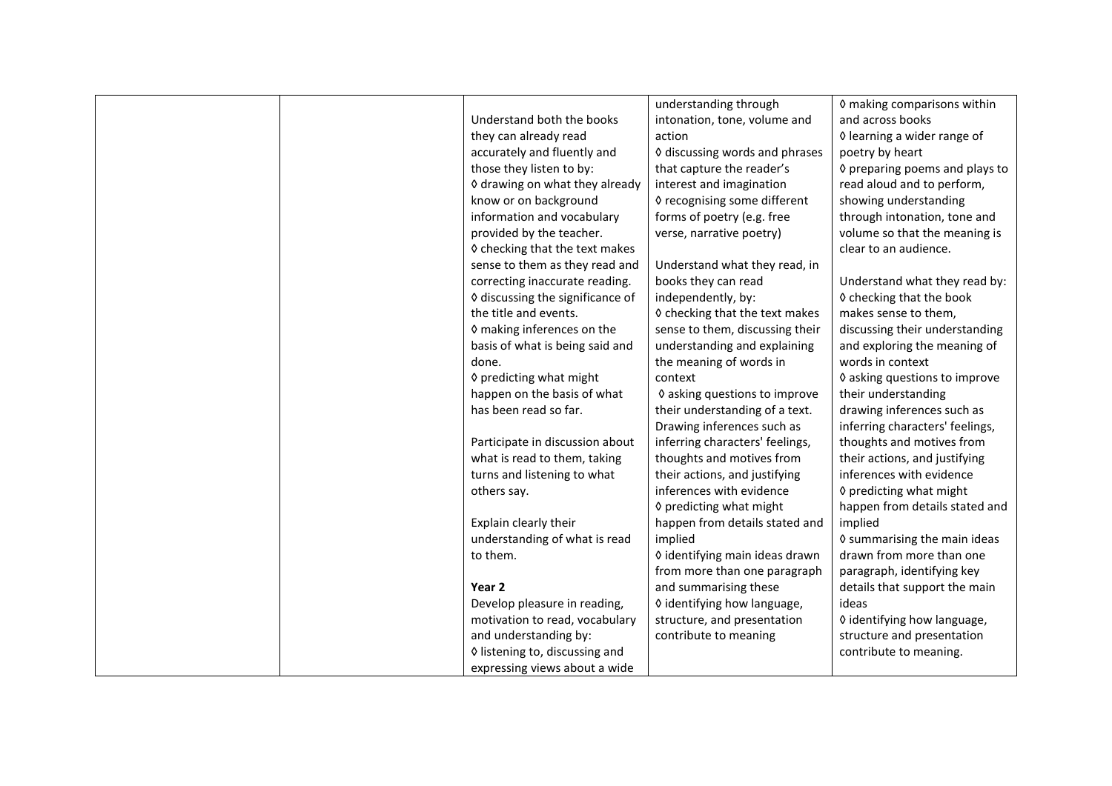|                                  | understanding through           | 0 making comparisons within         |
|----------------------------------|---------------------------------|-------------------------------------|
| Understand both the books        | intonation, tone, volume and    | and across books                    |
| they can already read            | action                          | ♦ learning a wider range of         |
| accurately and fluently and      | ♦ discussing words and phrases  | poetry by heart                     |
| those they listen to by:         | that capture the reader's       | ♦ preparing poems and plays to      |
| ♦ drawing on what they already   | interest and imagination        | read aloud and to perform,          |
| know or on background            | ♦ recognising some different    | showing understanding               |
| information and vocabulary       | forms of poetry (e.g. free      | through intonation, tone and        |
| provided by the teacher.         | verse, narrative poetry)        | volume so that the meaning is       |
| ♦ checking that the text makes   |                                 | clear to an audience.               |
| sense to them as they read and   | Understand what they read, in   |                                     |
| correcting inaccurate reading.   | books they can read             | Understand what they read by:       |
| ♦ discussing the significance of | independently, by:              | ♦ checking that the book            |
| the title and events.            | ♦ checking that the text makes  | makes sense to them,                |
| ♦ making inferences on the       | sense to them, discussing their | discussing their understanding      |
| basis of what is being said and  | understanding and explaining    | and exploring the meaning of        |
| done.                            | the meaning of words in         | words in context                    |
| ♦ predicting what might          | context                         | ♦ asking questions to improve       |
| happen on the basis of what      | ♦ asking questions to improve   | their understanding                 |
| has been read so far.            | their understanding of a text.  | drawing inferences such as          |
|                                  | Drawing inferences such as      | inferring characters' feelings,     |
| Participate in discussion about  | inferring characters' feelings, | thoughts and motives from           |
| what is read to them, taking     | thoughts and motives from       | their actions, and justifying       |
| turns and listening to what      | their actions, and justifying   | inferences with evidence            |
| others say.                      | inferences with evidence        | ♦ predicting what might             |
|                                  | ♦ predicting what might         | happen from details stated and      |
| Explain clearly their            | happen from details stated and  | implied                             |
| understanding of what is read    | implied                         | <b>V</b> summarising the main ideas |
| to them.                         | ◊ identifying main ideas drawn  | drawn from more than one            |
|                                  | from more than one paragraph    | paragraph, identifying key          |
| Year <sub>2</sub>                | and summarising these           | details that support the main       |
| Develop pleasure in reading,     | ♦ identifying how language,     | ideas                               |
| motivation to read, vocabulary   | structure, and presentation     | ♦ identifying how language,         |
| and understanding by:            | contribute to meaning           | structure and presentation          |
| ♦ listening to, discussing and   |                                 | contribute to meaning.              |
| expressing views about a wide    |                                 |                                     |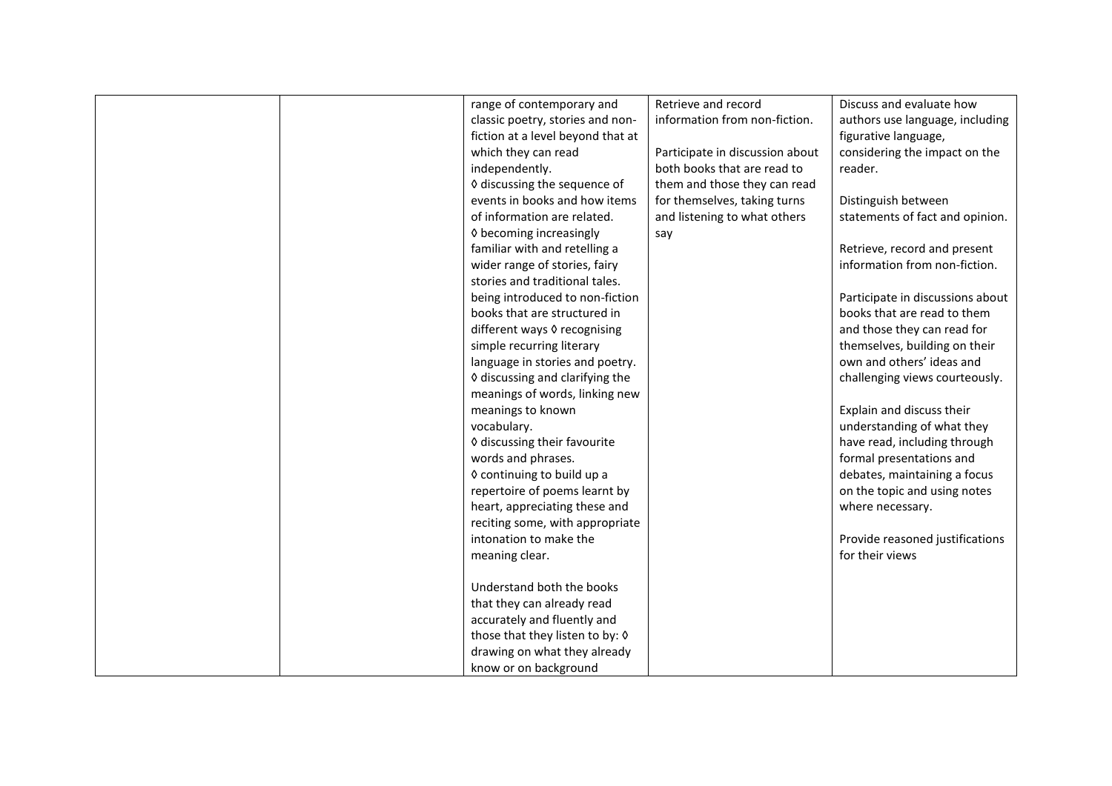|  | range of contemporary and         | Retrieve and record             | Discuss and evaluate how         |
|--|-----------------------------------|---------------------------------|----------------------------------|
|  | classic poetry, stories and non-  | information from non-fiction.   | authors use language, including  |
|  | fiction at a level beyond that at |                                 | figurative language,             |
|  | which they can read               | Participate in discussion about | considering the impact on the    |
|  | independently.                    | both books that are read to     | reader.                          |
|  | ♦ discussing the sequence of      | them and those they can read    |                                  |
|  | events in books and how items     | for themselves, taking turns    | Distinguish between              |
|  | of information are related.       | and listening to what others    | statements of fact and opinion.  |
|  | ♦ becoming increasingly           | say                             |                                  |
|  | familiar with and retelling a     |                                 | Retrieve, record and present     |
|  | wider range of stories, fairy     |                                 | information from non-fiction.    |
|  | stories and traditional tales.    |                                 |                                  |
|  | being introduced to non-fiction   |                                 | Participate in discussions about |
|  | books that are structured in      |                                 | books that are read to them      |
|  | different ways 0 recognising      |                                 | and those they can read for      |
|  | simple recurring literary         |                                 | themselves, building on their    |
|  | language in stories and poetry.   |                                 | own and others' ideas and        |
|  | ♦ discussing and clarifying the   |                                 | challenging views courteously.   |
|  | meanings of words, linking new    |                                 |                                  |
|  | meanings to known                 |                                 | Explain and discuss their        |
|  | vocabulary.                       |                                 | understanding of what they       |
|  | ♦ discussing their favourite      |                                 | have read, including through     |
|  | words and phrases.                |                                 | formal presentations and         |
|  | ♦ continuing to build up a        |                                 | debates, maintaining a focus     |
|  | repertoire of poems learnt by     |                                 | on the topic and using notes     |
|  | heart, appreciating these and     |                                 | where necessary.                 |
|  | reciting some, with appropriate   |                                 |                                  |
|  | intonation to make the            |                                 | Provide reasoned justifications  |
|  | meaning clear.                    |                                 | for their views                  |
|  |                                   |                                 |                                  |
|  | Understand both the books         |                                 |                                  |
|  | that they can already read        |                                 |                                  |
|  | accurately and fluently and       |                                 |                                  |
|  | those that they listen to by: 0   |                                 |                                  |
|  | drawing on what they already      |                                 |                                  |
|  | know or on background             |                                 |                                  |
|  |                                   |                                 |                                  |